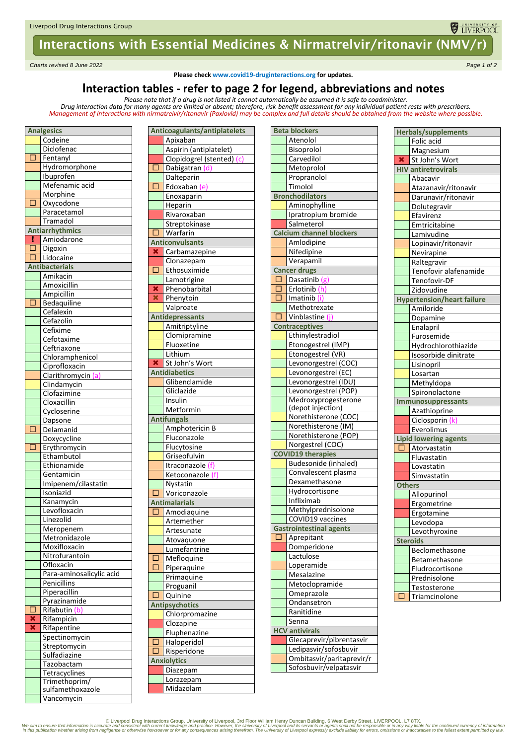# Interactions with Essential Medicines & Nirmatrelvir/ritonavir (NMV/r)

*Charts revised 8 June 2022 Page 1 of 2*

**Please check www.covid19-druginteractions.org for updates.**

## **Interaction tables - refer to page 2 for legend, abbreviations and notes**

*Please note that if a drug is not listed it cannot automatically be assumed it is safe to coadminister.* 

*Drug interaction data for many agents are limited or absent; therefore, risk-benefit assessment for any individual patient rests with prescribers. Management of interactions with nirmatrelvir/ritonavir (Paxlovid) may be complex and full details should be obtained from the website where possible.*

| <b>Analgesics</b>       |                           |  |  |  |
|-------------------------|---------------------------|--|--|--|
|                         | Codeine                   |  |  |  |
|                         | Diclofenac                |  |  |  |
| П                       | Fentanyl                  |  |  |  |
|                         | Hydromorphone             |  |  |  |
|                         | Ibuprofen                 |  |  |  |
|                         | Mefenamic acid            |  |  |  |
|                         | Morphine                  |  |  |  |
| 貢                       | Oxycodone                 |  |  |  |
|                         | Paracetamol               |  |  |  |
|                         | Tramadol                  |  |  |  |
|                         | <b>Antiarrhythmics</b>    |  |  |  |
|                         |                           |  |  |  |
| н<br>õ                  | Amiodarone                |  |  |  |
|                         | Digoxin                   |  |  |  |
| Г                       | Lidocaine                 |  |  |  |
|                         | <b>Antibacterials</b>     |  |  |  |
|                         | Amikacin                  |  |  |  |
|                         | Amoxicillin               |  |  |  |
|                         | Ampicillin                |  |  |  |
| $\Box$                  | Bedaquiline               |  |  |  |
|                         | Cefalexin                 |  |  |  |
|                         | Cefazolin                 |  |  |  |
|                         | Cefixime                  |  |  |  |
|                         | Cefotaxime                |  |  |  |
|                         | Ceftriaxone               |  |  |  |
|                         | Chloramphenicol           |  |  |  |
|                         | Ciprofloxacin             |  |  |  |
|                         | Clarithromycin (a)        |  |  |  |
|                         | Clindamycin               |  |  |  |
|                         | Clofazimine               |  |  |  |
|                         | Cloxacillin               |  |  |  |
|                         | Cycloserine               |  |  |  |
|                         | Dapsone                   |  |  |  |
| □                       | Delamanid                 |  |  |  |
|                         | Doxycycline               |  |  |  |
| Ō                       | Erythromycin              |  |  |  |
|                         | Ethambutol                |  |  |  |
|                         | Ethionamide               |  |  |  |
|                         | Gentamicin                |  |  |  |
|                         | Imipenem/cilastatin       |  |  |  |
|                         | Isoniazid                 |  |  |  |
|                         |                           |  |  |  |
|                         | Kanamycin<br>Levofloxacin |  |  |  |
|                         |                           |  |  |  |
|                         | Linezolid                 |  |  |  |
|                         | Meropenem                 |  |  |  |
|                         | Metronidazole             |  |  |  |
|                         | Moxifloxacin              |  |  |  |
|                         | Nitrofurantoin            |  |  |  |
|                         | Ofloxacin                 |  |  |  |
|                         | Para-aminosalicylic acid  |  |  |  |
|                         | Penicillins               |  |  |  |
|                         | Piperacillin              |  |  |  |
|                         | Pyrazinamide              |  |  |  |
| □                       | Rifabutin (b)             |  |  |  |
|                         | Rifampicin                |  |  |  |
| $\overline{\textbf{x}}$ | Rifapentine               |  |  |  |
|                         | Spectinomycin             |  |  |  |
|                         | Streptomycin              |  |  |  |
|                         | Sulfadiazine              |  |  |  |
|                         | Tazobactam                |  |  |  |
|                         | Tetracyclines             |  |  |  |
|                         | Trimethoprim/             |  |  |  |
|                         | sulfamethoxazole          |  |  |  |
|                         | Vancomycin                |  |  |  |
|                         |                           |  |  |  |

|                         | ,,,,,,,,,,,,,,,,             |  |  |
|-------------------------|------------------------------|--|--|
|                         | Anticoagulants/antiplatelets |  |  |
|                         | Apixaban                     |  |  |
|                         | Aspirin (antiplatelet)       |  |  |
|                         | Clopidogrel (stented) (c)    |  |  |
| Ì<br>C                  | Dabigatran (d)               |  |  |
|                         | Dalteparin                   |  |  |
| □                       | Edoxaban (e)                 |  |  |
|                         | Enoxaparin                   |  |  |
|                         | Heparin                      |  |  |
|                         | Rivaroxaban                  |  |  |
| Г                       | Streptokinase<br>Warfarin    |  |  |
|                         | <b>Anticonvulsants</b>       |  |  |
| ×                       | Carbamazepine                |  |  |
|                         | Clonazepam                   |  |  |
| □                       | Ethosuximide                 |  |  |
|                         | Lamotrigine                  |  |  |
| ×                       | Phenobarbital                |  |  |
| ×                       | Phenytoin                    |  |  |
|                         | Valproate                    |  |  |
|                         | <b>Antidepressants</b>       |  |  |
|                         | Amitriptyline                |  |  |
|                         | Clomipramine                 |  |  |
|                         | Fluoxetine                   |  |  |
|                         | Lithium                      |  |  |
| $\overline{\mathbf{x}}$ | St John's Wort               |  |  |
|                         | <b>Antidiabetics</b>         |  |  |
|                         | Glibenclamide                |  |  |
|                         | Gliclazide                   |  |  |
|                         | Insulin                      |  |  |
|                         | Metformin                    |  |  |
|                         | <b>Antifungals</b>           |  |  |
|                         | Amphotericin B               |  |  |
|                         | Fluconazole<br>Flucytosine   |  |  |
|                         | Griseofulvin                 |  |  |
|                         | Itraconazole (f)             |  |  |
|                         | Ketoconazole (f)             |  |  |
|                         | Nystatin                     |  |  |
| L                       | <u>Voriconazole</u>          |  |  |
|                         | <b>Antimalarials</b>         |  |  |
|                         | Amodiaquin                   |  |  |
|                         | Artemether                   |  |  |
|                         | Artesunate                   |  |  |
|                         | Atovaquone                   |  |  |
|                         | Lumefantrine                 |  |  |
| c                       | Mefloquine                   |  |  |
| ſ                       | Piperaquine                  |  |  |
|                         | Primaquine                   |  |  |
|                         | Proguanil                    |  |  |
| □                       | Quinine                      |  |  |
|                         | <b>Antipsychotics</b>        |  |  |
|                         | Chlorpromazine               |  |  |
|                         | Clozapine                    |  |  |
|                         | Fluphenazine                 |  |  |
| ſ<br>ſ<br>1             | Haloperidol                  |  |  |
|                         | Risperidone                  |  |  |
|                         | <b>Anxiolytics</b>           |  |  |
|                         | Diazepam                     |  |  |
|                         | Lorazepam<br>Midazolam       |  |  |
|                         |                              |  |  |

| <b>Beta blockers</b>                        |  |  |  |  |
|---------------------------------------------|--|--|--|--|
| Atenolol                                    |  |  |  |  |
| Bisoprolol                                  |  |  |  |  |
| Carvedilol                                  |  |  |  |  |
| Metoprolol                                  |  |  |  |  |
| Propranolol                                 |  |  |  |  |
| Timolol                                     |  |  |  |  |
| <b>Bronchodilators</b>                      |  |  |  |  |
| Aminophylline                               |  |  |  |  |
| Ipratropium bromide                         |  |  |  |  |
| Salmeterol                                  |  |  |  |  |
| <b>Calcium channel blockers</b>             |  |  |  |  |
| Amlodipine                                  |  |  |  |  |
| Nifedipine                                  |  |  |  |  |
| Verapamil                                   |  |  |  |  |
| <b>Cancer drugs</b>                         |  |  |  |  |
| Ò<br>Dasatinib (g)                          |  |  |  |  |
| Erlotinib (h)<br>$\Box$                     |  |  |  |  |
| Imatinib (i)<br>٦                           |  |  |  |  |
| Methotrexate                                |  |  |  |  |
| $\Box$<br>Vinblastine (j)                   |  |  |  |  |
| <b>Contraceptives</b>                       |  |  |  |  |
| Ethinylestradiol                            |  |  |  |  |
| Etonogestrel (IMP)                          |  |  |  |  |
|                                             |  |  |  |  |
| Etonogestrel (VR)                           |  |  |  |  |
| Levonorgestrel (COC)                        |  |  |  |  |
| Levonorgestrel (EC)                         |  |  |  |  |
| Levonorgestrel (IDU)                        |  |  |  |  |
| Levonorgestrel (POP)                        |  |  |  |  |
| Medroxyprogesterone                         |  |  |  |  |
| (depot injection)                           |  |  |  |  |
| Norethisterone (COC)<br>Norethisterone (IM) |  |  |  |  |
|                                             |  |  |  |  |
| Norethisterone (POP)                        |  |  |  |  |
| Norgestrel (COC)                            |  |  |  |  |
| <b>COVID19 therapies</b>                    |  |  |  |  |
| Budesonide (inhaled)                        |  |  |  |  |
| Convalescent plasma                         |  |  |  |  |
| Dexamethasone                               |  |  |  |  |
| Hydrocortisone                              |  |  |  |  |
| Infliximab                                  |  |  |  |  |
| Methylprednisolone                          |  |  |  |  |
| COVID19 vaccines                            |  |  |  |  |
| <b>Gastrointestinal agents</b>              |  |  |  |  |
| Aprepitant                                  |  |  |  |  |
| Domperidone                                 |  |  |  |  |
| Lactulose                                   |  |  |  |  |
| Loperamide                                  |  |  |  |  |
| Mesalazine                                  |  |  |  |  |
| Metoclopramide                              |  |  |  |  |
| Omeprazole                                  |  |  |  |  |
| Ondansetron                                 |  |  |  |  |
| Ranitidine                                  |  |  |  |  |
| Senna                                       |  |  |  |  |
| <b>HCV</b> antivirals                       |  |  |  |  |
| Glecaprevir/pibrentasvir                    |  |  |  |  |
| Ledipasvir/sofosbuvir                       |  |  |  |  |
| Ombitasvir/paritaprevir/r                   |  |  |  |  |
| Sofosbuvir/velpatasvir                      |  |  |  |  |

|                         | <b>Herbals/supplements</b>        |
|-------------------------|-----------------------------------|
|                         | Folic acid                        |
|                         | Magnesium                         |
| $\overline{\textbf{x}}$ | St John's Wort                    |
|                         | <b>HIV antiretrovirals</b>        |
|                         | Abacavir                          |
|                         | Atazanavir/ritonavir              |
|                         | Darunavir/ritonavir               |
|                         | Dolutegravir                      |
|                         | Efavirenz                         |
|                         | Emtricitabine                     |
|                         | Lamivudine                        |
|                         | Lopinavir/ritonavir               |
|                         | Nevirapine                        |
|                         | Raltegravir                       |
|                         | Tenofovir alafenamide             |
|                         | Tenofovir-DF                      |
|                         | Zidovudine                        |
|                         | <b>Hypertension/heart failure</b> |
|                         | Amiloride                         |
|                         | <b>Dopamine</b>                   |
|                         | Enalapril                         |
|                         | Furosemide                        |
|                         | Hydrochlorothiazide               |
|                         | Isosorbide dinitrate              |
|                         | Lisinopril                        |
|                         | Losartan                          |
|                         | Methyldopa                        |
|                         | Spironolactone                    |
|                         | Immunosuppressants                |
|                         | Azathioprine                      |
|                         | Ciclosporin                       |
|                         | Everolimus                        |
| П                       | <b>Lipid lowering agents</b>      |
|                         | Atorvastatin                      |
|                         | Fluvastatin<br>Lovastatin         |
|                         | Simvastatin                       |
| <b>Others</b>           |                                   |
|                         | Allopurinol                       |
|                         | Ergometrine                       |
|                         | Ergotamine                        |
|                         | Levodopa                          |
|                         | Levothyroxine                     |
|                         | <b>Steroids</b>                   |
|                         | Beclomethasone                    |
|                         | Betamethasone                     |
|                         | Fludrocortisone                   |
|                         | Prednisolone                      |
|                         | Testosterone                      |
| Ō                       | Triamcinolone                     |
|                         |                                   |

UNIVERSITY OF

© Liverpool Drug Interactions Group, University of Liverpool, 3rd Floor William Henry Duncan Building, 6 West Derby Street, LIVERPOOL, L7 8TX.<br>We aim to ensure that information is accurate and consistent with current knowl